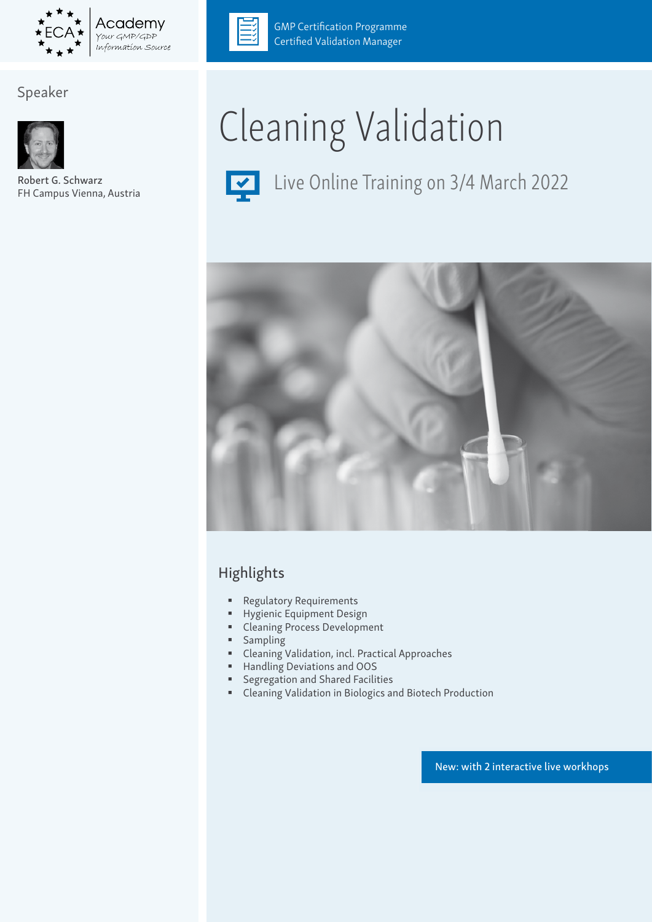

# Speaker



Robert G. Schwarz FH Campus Vienna, Austria



**GMP Certification Programme** Certified Validation Manager

# Cleaning Validation



Live Online Training on 3/4 March 2022



# Highlights

- **Regulatory Requirements**
- Hygienic Equipment Design
- Cleaning Process Development
- Sampling
- Cleaning Validation, incl. Practical Approaches
- Handling Deviations and OOS
- Segregation and Shared Facilities
- Cleaning Validation in Biologics and Biotech Production

New: with 2 interactive live workhops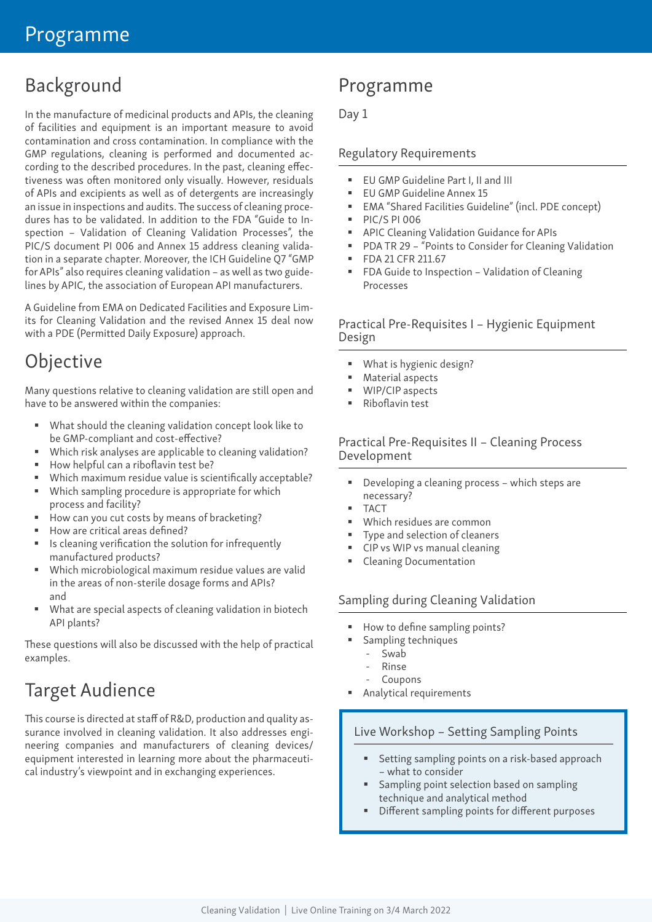# Background

In the manufacture of medicinal products and APIs, the cleaning of facilities and equipment is an important measure to avoid contamination and cross contamination. In compliance with the GMP regulations, cleaning is performed and documented according to the described procedures. In the past, cleaning effectiveness was often monitored only visually. However, residuals of APIs and excipients as well as of detergents are increasingly an issue in inspections and audits. The success of cleaning procedures has to be validated. In addition to the FDA "Guide to Inspection – Validation of Cleaning Validation Processes", the PIC/S document PI 006 and Annex 15 address cleaning validation in a separate chapter. Moreover, the ICH Guideline Q7 "GMP for APIs" also requires cleaning validation – as well as two guidelines by APIC, the association of European API manufacturers.

A Guideline from EMA on Dedicated Facilities and Exposure Limits for Cleaning Validation and the revised Annex 15 deal now with a PDE (Permitted Daily Exposure) approach.

# **Objective**

Many questions relative to cleaning validation are still open and have to be answered within the companies:

- What should the cleaning validation concept look like to be GMP-compliant and cost-effective?
- Which risk analyses are applicable to cleaning validation?
- How helpful can a riboflavin test be?
- Which maximum residue value is scientifically acceptable?
- **Which sampling procedure is appropriate for which**
- process and facility? How can you cut costs by means of bracketing?
- How are critical areas defined?
- Is cleaning verification the solution for infrequently manufactured products?
- Which microbiological maximum residue values are valid in the areas of non-sterile dosage forms and APIs? and
- What are special aspects of cleaning validation in biotech API plants?

These questions will also be discussed with the help of practical examples.

# Target Audience

This course is directed at staff of R&D, production and quality assurance involved in cleaning validation. It also addresses engineering companies and manufacturers of cleaning devices/ equipment interested in learning more about the pharmaceutical industry's viewpoint and in exchanging experiences.

# Programme

# Day 1

# Regulatory Requirements

- **EU GMP Guideline Part I, II and III**
- EU GMP Guideline Annex 15
- EMA "Shared Facilities Guideline" (incl. PDE concept)
- **PIC/S PI 006**
- APIC Cleaning Validation Guidance for APIs
- PDA TR 29 "Points to Consider for Cleaning Validation
- **FDA 21 CFR 211.67**
- **FDA Guide to Inspection Validation of Cleaning** Processes

## Practical Pre-Requisites I – Hygienic Equipment Design

- What is hygienic design?
- Material aspects
- WIP/CIP aspects
- Riboflavin test

#### Practical Pre-Requisites II – Cleaning Process Development

- Developing a cleaning process which steps are necessary?
- TACT
- Which residues are common
- Type and selection of cleaners
- CIP vs WIP vs manual cleaning
- Cleaning Documentation

## Sampling during Cleaning Validation

- How to define sampling points?
- Sampling techniques
	- Swab
	- Rinse
	- **Coupons**
- Analytical requirements

## Live Workshop – Setting Sampling Points

- Setting sampling points on a risk-based approach – what to consider
- Sampling point selection based on sampling technique and analytical method
- Different sampling points for different purposes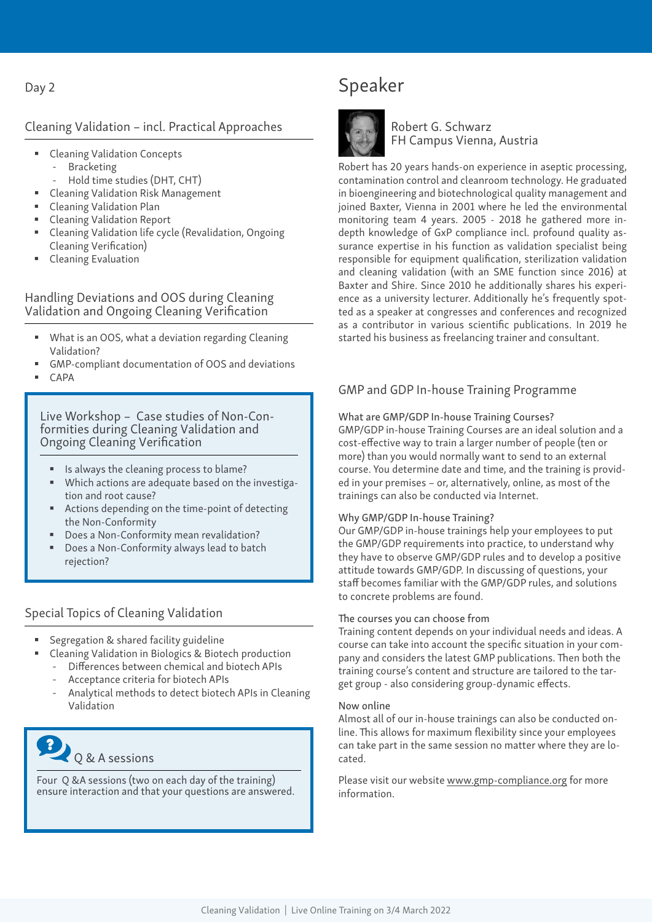#### Day 2

#### Cleaning Validation – incl. Practical Approaches

- Cleaning Validation Concepts **Bracketing** 
	- Hold time studies (DHT, CHT)
- Cleaning Validation Risk Management
- Cleaning Validation Plan
- Cleaning Validation Report
- Cleaning Validation life cycle (Revalidation, Ongoing Cleaning Verification)
- Cleaning Evaluation

#### Handling Deviations and OOS during Cleaning Validation and Ongoing Cleaning Verification

- What is an OOS, what a deviation regarding Cleaning Validation?
- GMP-compliant documentation of OOS and deviations
- CAPA

#### Live Workshop – Case studies of Non-Conformities during Cleaning Validation and Ongoing Cleaning Verification

- Is always the cleaning process to blame?
- Which actions are adequate based on the investigation and root cause?
- Actions depending on the time-point of detecting the Non-Conformity
- Does a Non-Conformity mean revalidation?
- Does a Non-Conformity always lead to batch rejection?

#### Special Topics of Cleaning Validation

- Segregation & shared facility guideline
- Cleaning Validation in Biologics & Biotech production
	- Differences between chemical and biotech APIs
	- Acceptance criteria for biotech APIs
	- Analytical methods to detect biotech APIs in Cleaning Validation



Four Q &A sessions (two on each day of the training) ensure interaction and that your questions are answered.

# Speaker



Robert G. Schwarz FH Campus Vienna, Austria

Robert has 20 years hands-on experience in aseptic processing, contamination control and cleanroom technology. He graduated in bioengineering and biotechnological quality management and joined Baxter, Vienna in 2001 where he led the environmental monitoring team 4 years. 2005 - 2018 he gathered more indepth knowledge of GxP compliance incl. profound quality assurance expertise in his function as validation specialist being responsible for equipment qualification, sterilization validation and cleaning validation (with an SME function since 2016) at Baxter and Shire. Since 2010 he additionally shares his experience as a university lecturer. Additionally he's frequently spotted as a speaker at congresses and conferences and recognized as a contributor in various scientific publications. In 2019 he started his business as freelancing trainer and consultant.

#### GMP and GDP In-house Training Programme

#### What are GMP/GDP In-house Training Courses?

GMP/GDP in-house Training Courses are an ideal solution and a cost-effective way to train a larger number of people (ten or more) than you would normally want to send to an external course. You determine date and time, and the training is provided in your premises – or, alternatively, online, as most of the trainings can also be conducted via Internet.

#### Why GMP/GDP In-house Training?

Our GMP/GDP in-house trainings help your employees to put the GMP/GDP requirements into practice, to understand why they have to observe GMP/GDP rules and to develop a positive attitude towards GMP/GDP. In discussing of questions, your staff becomes familiar with the GMP/GDP rules, and solutions to concrete problems are found.

#### The courses you can choose from

Training content depends on your individual needs and ideas. A course can take into account the specific situation in your company and considers the latest GMP publications. Then both the training course's content and structure are tailored to the target group - also considering group-dynamic effects.

#### Now online

Almost all of our in-house trainings can also be conducted online. This allows for maximum flexibility since your employees can take part in the same session no matter where they are located.

Please visit our website www.gmp-compliance.org for more information.